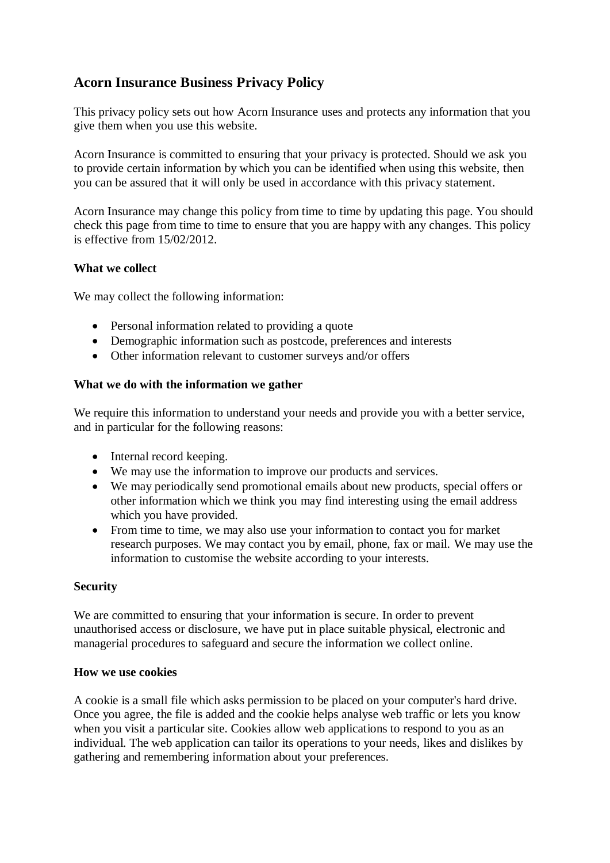# **Acorn Insurance Business Privacy Policy**

This privacy policy sets out how Acorn Insurance uses and protects any information that you give them when you use this website.

Acorn Insurance is committed to ensuring that your privacy is protected. Should we ask you to provide certain information by which you can be identified when using this website, then you can be assured that it will only be used in accordance with this privacy statement.

Acorn Insurance may change this policy from time to time by updating this page. You should check this page from time to time to ensure that you are happy with any changes. This policy is effective from 15/02/2012.

# **What we collect**

We may collect the following information:

- Personal information related to providing a quote
- Demographic information such as postcode, preferences and interests
- Other information relevant to customer surveys and/or offers

# **What we do with the information we gather**

We require this information to understand your needs and provide you with a better service, and in particular for the following reasons:

- Internal record keeping.
- We may use the information to improve our products and services.
- We may periodically send promotional emails about new products, special offers or other information which we think you may find interesting using the email address which you have provided.
- From time to time, we may also use your information to contact you for market research purposes. We may contact you by email, phone, fax or mail. We may use the information to customise the website according to your interests.

### **Security**

We are committed to ensuring that your information is secure. In order to prevent unauthorised access or disclosure, we have put in place suitable physical, electronic and managerial procedures to safeguard and secure the information we collect online.

### **How we use cookies**

A cookie is a small file which asks permission to be placed on your computer's hard drive. Once you agree, the file is added and the cookie helps analyse web traffic or lets you know when you visit a particular site. Cookies allow web applications to respond to you as an individual. The web application can tailor its operations to your needs, likes and dislikes by gathering and remembering information about your preferences.